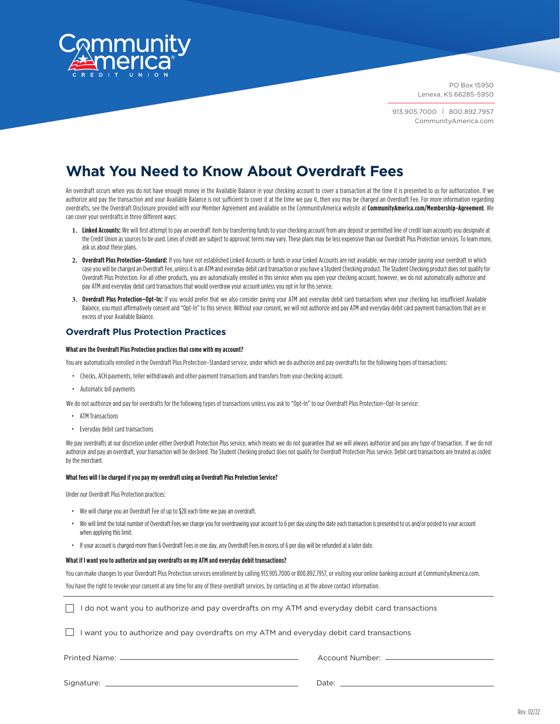

913.905.7000 | 800.892.7957 CommunityAmerica.com

# **What You Need to Know About Overdraft Fees**

An overdraft occurs when you do not have enough money in the Available Balance in your checking account to cover a transaction at the time it is presented to us for authorization. If we authorize and pay the transaction and your Available Balance is not sufficient to cover it at the time we pay it, then you may be charged an Overdraft Fee. For more information regarding overdrafts, see the Overdraft Disclosure provided with your Member Agreement and available on the CommunityAmerica website at **CommunityAmerica.com/Membership-Agreement**. We can cover your overdrafts in three different ways:

- **1. Linked Accounts:** We will first attempt to pay an overdraft item by transferring funds to your checking account from any deposit or permitted line of credit loan accounts you designateat the Credit Union as sources to be used. Lines of credit are subject to approval; terms may vary. These plans may be less expensive than our Overdraft Plus Protection services. To learn more, ask us about these plans.
- 2. Overdraft Plus Protection–Standard: If you have not established Linked Accounts or funds in your Linked Accounts are not available, we may consider paying your overdraft in which case you will be charged an Overdraft Fee, unless it is an ATM and everyday debit card transaction or you have a Student Checking product. The Student Checking product does not qualify for Overdraft Plus Protection. For all other products, you are automatically enrolled in this service when you open your checking account; however, we do not automatically authorize and pay ATM and everyday debit card transactions that would overdraw your account unless you opt in for this service.
- **3. Overdraft Plus Protection–Opt-In:** If you would prefer that we also consider paying your ATM and everyday debit card transactions when your checking has insufficient Available Balance, you must affirmatively consent and "Opt-In" to this service. Without your consent, we will not authorize and pay ATM and everyday debit card payment transactions that are in excess of your Available Balance.

## **Overdraft Plus Protection Practices**

### **What are the Overdraft Plus Protection practices that come with my account?**

You are automatically enrolled in the Overdraft Plus Protection-Standard service, under which we do authorize and pay overdrafts for the following types of transactions:

- Checks, ACH payments, teller withdrawals and other payment transactions and transfers from your checking account.
- Automatic bill payments

We do not authorize and pay for overdrafts for the following types of transactions unless you ask to "Opt-In" to our Overdraft Plus Protection-Opt-In service:

- ATM Transactions
- Everyday debit card transactions

We pay overdrafts at our discretion under either Overdraft Protection Plus service, which means we do not guarantee that we will always authorize and pay any type of transaction. If we do not authorize and pay an overdraft, your transaction will be declined. The Student Checking product does not qualify for Overdraft Protection Plus service. Debit card transactions are treated as coded by the merchant.

### **What fees will I be charged if you pay my overdraft using an Overdraft Plus Protection Service?**

Under our Overdraft Plus Protection practices:

- We will charge you an Overdraft Fee of up to \$28 each time we pay an overdraft.
- We will limit the total number of Overdraft Fees we charge you for overdrawing your account to 6 per day using the date each transaction is presented to us and/or posted to your account when applying this limit.
- If your account is charged more than 6 Overdraft Fees in one day, any Overdraft Fees in excess of 6 per day will be refunded at a later date.

#### **What if I want you to authorize and pay overdrafts on my ATM and everyday debit transactions?**

You can make changes to your Overdraft Plus Protection services enrollment by calling 913.905.7000 or 800.892.7957, or visiting your online banking account at CommunityAmerica.com. You have the right to revoke your consent at any time for any of these overdraft services, by contacting us at the above contact information.

 $\Box$  I do not want you to authorize and pay overdrafts on my ATM and everyday debit card transactions

 $\Box$  I want you to authorize and pay overdrafts on my ATM and everyday debit card transactions

Printed Name: Account Number:

Signature: Date: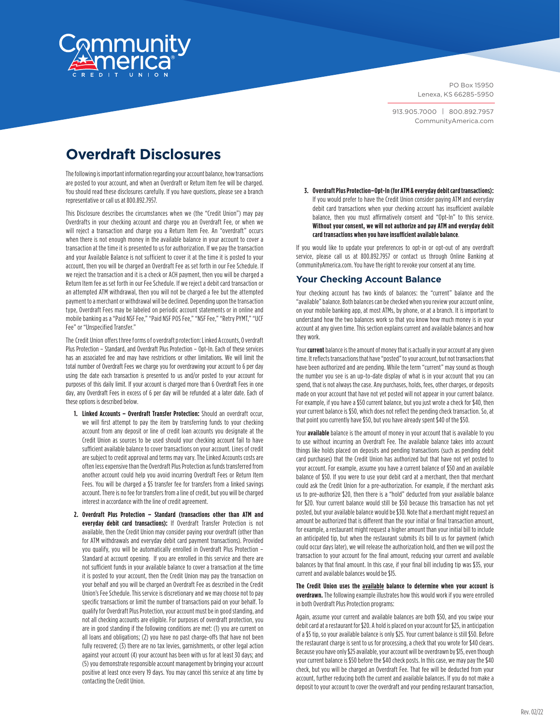

913.905.7000 | 800.892.7957 CommunityAmerica.com

# **Overdraft Disclosures**

The following is important information regarding your account balance, how transactions are posted to your account, and when an Overdraft or Return Item fee will be charged. You should read these disclosures carefully. If you have questions, please see a branch representative or call us at 800.892.7957.

This Disclosure describes the circumstances when we (the "Credit Union") may pay Overdrafts in your checking account and charge you an Overdraft Fee, or when we will reject a transaction and charge you a Return Item Fee. An "overdraft" occurs when there is not enough money in the available balance in your account to cover a transaction at the time it is presented to us for authorization. If we pay the transaction and your Available Balance is not sufficient to cover it at the time it is posted to your account, then you will be charged an Overdraft Fee as set forth in our Fee Schedule. If we reject the transaction and it is a check or ACH payment, then you will be charged a Return Item fee as set forth in our Fee Schedule. If we reject a debit card transaction or an attempted ATM withdrawal, then you will not be charged a fee but the attempted payment to a merchant or withdrawal will be declined. Depending upon the transaction type, Overdraft Fees may be labeled on periodic account statements or in online and mobile banking as a "Paid NSF Fee," "Paid NSF POS Fee," "NSF Fee," "Retry PYMT," "UCF Fee" or "Unspecified Transfer."

The Credit Union offers three forms of overdraft p rotection: Linked Accounts, Overdraft Plus Protection – Standard, and Overdraft Plus Protection – Opt-In. Each of these services has an associated fee and may have restrictions or other limitations. We will limit the total number of Overdraft Fees we charge you for overdrawing your account to 6 per day using the date each transaction is presented to us and/or posted to your account for purposes of this daily limit. If your account is charged more than 6 Overdraft Fees in one day, any Overdraft Fees in excess of 6 per day will be refunded at a later date. Each of these options is described below.

- **1. Linked Accounts Overdraft Transfer Protection:** Should an overdraft occur, we will first attempt to pay the item by transferring funds to your checking account from any deposit or line of credit loan accounts you designate at the Credit Union as sources to be used should your checking account fail to have sufficient available balance to cover transactions on your account. Lines of credit are subject to credit approval and terms may vary. The Linked Accounts costs are often less expensive than the Overdraft Plus Protection as funds transferred from another account could help you avoid incurring Overdraft Fees or Return Item Fees. You will be charged a \$5 transfer fee for transfers from a linked savings account. There is no fee for transfers from a line of credit, but you will be charged interest in accordance with the line of credit agreement.
- **2. Overdraft Plus Protection Standard (transactions other than ATM and everyday debit card transactions):** If Overdraft Transfer Protection is not available, then the Credit Union may consider paying your overdraft (other than for ATM withdrawals and everyday debit card payment transactions). Provided you qualify, you will be automatically enrolled in Overdraft Plus Protection – Standard at account opening. If you are enrolled in this service and there are not sufficient funds in your available balance to cover a transaction at the time it is posted to your account, then the Credit Union may pay the transaction on your behalf and you will be charged an Overdraft Fee as described in the Credit Union's Fee Schedule. This service is discretionary and we may choose not to pay specific transactions or limit the number of transactions paid on your behalf. To qualify for Overdraft Plus Protection, your account must be in good standing, and not all checking accounts are eligible. For purposes of overdraft protection, you are in good standing if the following conditions are met: (1) you are current on all loans and obligations; (2) you have no past charge-offs that have not been fully recovered; (3) there are no tax levies, garnishments, or other legal action against your account (4) your account has been with us for at least 30 days; and (5) you demonstrate responsible account management by bringing your account positive at least once every 19 days. You may cancel this service at any time by contacting the Credit Union.

**3. Overdraft Plus Protection–Opt-In (for ATM & everyday debit card transactions):**  If you would prefer to have the Credit Union consider paying ATM and everyday debit card transactions when your checking account has insufficient available balance, then you must affirmatively consent and "Opt-In" to this service. **Without your consent, we will not authorize and pay ATM and everyday debit card transactions when you have insufficient available balance**.

If you would like to update your preferences to opt-in or opt-out of any overdraft service, please call us at 800.892.7957 or contact us through Online Banking at CommunityAmerica.com. You have the right to revoke your consent at any time.

## **Your Checking Account Balance**

Your checking account has two kinds of balances: the "current" balance and the "available" balance. Both balances can be checked when you review your account online, on your mobile banking app, at most ATMs, by phone, or at a branch. It is important to understand how the two balances work so that you know how much money is in your account at any given time. This section explains current and available balances and how they work.

Your **current** balance is the amount of money that is actually in your account at any given time. It reflects transactions that have "posted" to your account, but not transactions that have been authorized and are pending. While the term "current" may sound as though the number you see is an up-to-date display of what is in your account that you can spend, that is not always the case. Any purchases, holds, fees, other charges, or deposits made on your account that have not yet posted will not appear in your current balance. For example, if you have a \$50 current balance, but you just wrote a check for \$40, then your current balance is \$50, which does not reflect the pending check transaction. So, at that point you currently have \$50, but you have already spent \$40 of the \$50.

Your **available** balance is the amount of money in your account that is available to you to use without incurring an Overdraft Fee. The available balance takes into account things like holds placed on deposits and pending transactions (such as pending debit card purchases) that the Credit Union has authorized but that have not yet posted to your account. For example, assume you have a current balance of \$50 and an available balance of \$50. If you were to use your debit card at a merchant, then that merchant could ask the Credit Union for a pre-authorization. For example, if the merchant asks us to pre-authorize \$20, then there is a "hold" deducted from your available balance for \$20. Your current balance would still be \$50 because this transaction has not yet posted, but your available balance would be \$30. Note that a merchant might request an amount be authorized that is different than the your initial or final transaction amount, for example, a restaurant might request a higher amount than your initial bill to include an anticipated tip, but when the restaurant submits its bill to us for payment (which could occur days later), we will release the authorization hold, and then we will post the transaction to your account for the final amount, reducing your current and available balances by that final amount. In this case, if your final bill including tip was \$35, your current and available balances would be \$15.

**The Credit Union uses the available balance to determine when your account is overdrawn.** The following example illustrates how this would work if you were enrolled in both Overdraft Plus Protection programs:

Again, assume your current and available balances are both \$50, and you swipe your debit card at a restaurant for \$20. A hold is placed on your account for \$25, in anticipation of a \$5 tip, so your available balance is only \$25. Your current balance is still \$50. Before the restaurant charge is sent to us for processing, a check that you wrote for \$40 clears. Because you have only \$25 available, your account will be overdrawn by \$15, even though your current balance is \$50 before the \$40 check posts. In this case, we may pay the \$40 check, but you will be charged an Overdraft Fee. That fee will be deducted from your account, further reducing both the current and available balances. If you do not make a deposit to your account to cover the overdraft and your pending restaurant transaction,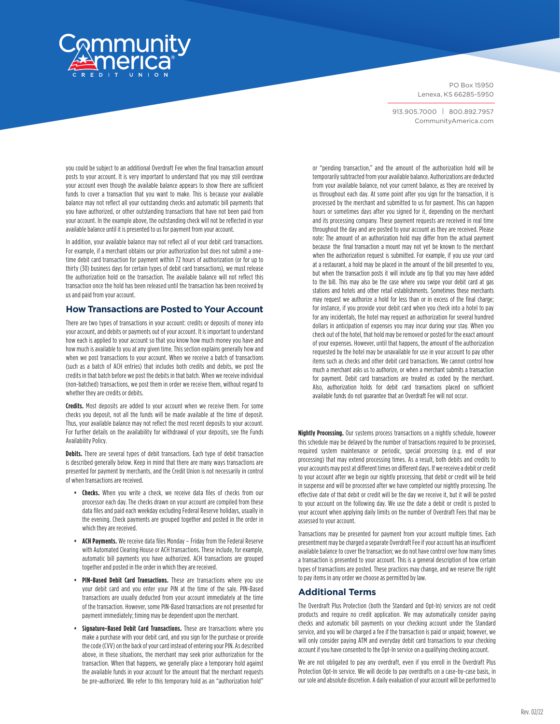

913.905.7000 | 800.892.7957 CommunityAmerica.com

you could be subject to an additional Overdraft Fee when the final transaction amount posts to your account. It is very important to understand that you may still overdraw your account even though the available balance appears to show there are sufficient funds to cover a transaction that you want to make. This is because your available balance may not reflect all your outstanding checks and automatic bill payments that you have authorized, or other outstanding transactions that have not been paid from your account. In the example above, the outstanding check will not be reflected in your available balance until it is presented to us for payment from your account.

In addition, your available balance may not reflect all of your debit card transactions. For example, if a merchant obtains our prior authorization but does not submit a onetime debit card transaction for payment within 72 hours of authorization (or for up to thirty (30) business days for certain types of debit card transactions), we must release the authorization hold on the transaction. The available balance will not reflect this transaction once the hold has been released until the transaction has been received by us and paid from your account.

## **How Transactions are Posted to Your Account**

There are two types of transactions in your account: credits or deposits of money into your account, and debits or payments out of your account. It is important to understand how each is applied to your account so that you know how much money you have and how much is available to you at any given time. This section explains generally how and when we post transactions to your account. When we receive a batch of transactions (such as a batch of ACH entries) that includes both credits and debits, we post the credits in that batch before we post the debits in that batch. When we receive individual (non-batched) transactions, we post them in order we receive them, without regard to whether they are credits or debits.

**Credits.** Most deposits are added to your account when we receive them. For some checks you deposit, not all the funds will be made available at the time of deposit. Thus, your available balance may not reflect the most recent deposits to your account. For further details on the availability for withdrawal of your deposits, see the Funds Availability Policy.

**Debits.** There are several types of debit transactions. Each type of debit transaction is described generally below. Keep in mind that there are many ways transactions are presented for payment by merchants, and the Credit Union is not necessarily in control of when transactions are received.

- **• Checks.** When you write a check, we receive data files of checks from our processor each day. The checks drawn on your account are compiled from these data files and paid each weekday excluding Federal Reserve holidays, usually in the evening. Check payments are grouped together and posted in the order in which they are received.
- **• ACH Payments.** We receive data files Monday Friday from the Federal Reserve with Automated Clearing House or ACH transactions. These include, for example, automatic bill payments you have authorized. ACH transactions are grouped together and posted in the order in which they are received.
- **• PIN-Based Debit Card Transactions.** These are transactions where you use your debit card and you enter your PIN at the time of the sale. PIN-Based transactions are usually deducted from your account immediately at the time of the transaction. However, some PIN-Based transactions are not presented for payment immediately; timing may be dependent upon the merchant.
- **• Signature-Based Debit Card Transactions.** These are transactions where you make a purchase with your debit card, and you sign for the purchase or provide the code (CVV) on the back of your card instead of entering your PIN. As described above, in these situations, the merchant may seek prior authorization for the transaction. When that happens, we generally place a temporary hold against the available funds in your account for the amount that the merchant requests be pre-authorized. We refer to this temporary hold as an "authorization hold"

or "pending transaction," and the amount of the authorization hold will be temporarily subtracted from your available balance. Authorizations are deducted from your available balance, not your current balance, as they are received by us throughout each day. At some point after you sign for the transaction, it is processed by the merchant and submitted to us for payment. This can happen hours or sometimes days after you signed for it, depending on the merchant and its processing company. These payment requests are received in real time throughout the day and are posted to your account as they are received. Please note: The amount of an authorization hold may differ from the actual payment because the final transaction a mount may not yet be known to the merchant when the authorization request is submitted. For example, if you use your card at a restaurant, a hold may be placed in the amount of the bill presented to you, but when the transaction posts it will include any tip that you may have added to the bill. This may also be the case where you swipe your debit card at gas stations and hotels and other retail establishments. Sometimes these merchants may request we authorize a hold for less than or in excess of the final charge; for instance, if you provide your debit card when you check into a hotel to pay for any incidentals, the hotel may request an authorization for several hundred dollars in anticipation of expenses you may incur during your stay. When you check out of the hotel, that hold may be removed or posted for the exact amount of your expenses. However, until that happens, the amount of the authorization requested by the hotel may be unavailable for use in your account to pay other items such as checks and other debit card transactions. We cannot control how much a merchant asks us to authorize, or when a merchant submits a transaction for payment. Debit card transactions are treated as coded by the merchant. Also, authorization holds for debit card transactions placed on sufficient available funds do not guarantee that an Overdraft Fee will not occur.

**Nightly Processing.** Our systems process transactions on a nightly schedule, however this schedule may be delayed by the number of transactions required to be processed, required system maintenance or periodic, special processing (e.g. end of year processing) that may extend processing times. As a result, both debits and credits to your accounts may post at different times on different days. If we receive a debit or credit to your account after we begin our nightly processing, that debit or credit will be held in suspense and will be processed after we have completed our nightly processing. The effective date of that debit or credit will be the day we receive it, but it will be posted to your account on the following day. We use the date a debit or credit is posted to your account when applying daily limits on the number of Overdraft Fees that may be assessed to your account.

Transactions may be presented for payment from your account multiple times. Each presentment may be charged a separate Overdraft Fee if your account has an insufficient available balance to cover the transaction; we do not have control over how many times a transaction is presented to your account. This is a general description of how certain types of transactions are posted. These practices may change, and we reserve the right to pay items in any order we choose as permitted by law.

## **Additional Terms**

The Overdraft Plus Protection (both the Standard and Opt-In) services are not credit products and require no credit application. We may automatically consider paying checks and automatic bill payments on your checking account under the Standard service, and you will be charged a fee if the transaction is paid or unpaid; however, we will only consider paying ATM and everyday debit card transactions to your checking account if you have consented to the Opt-In service on a qualifying checking account.

We are not obligated to pay any overdraft, even if you enroll in the Overdraft Plus Protection Opt-In service. We will decide to pay overdrafts on a case-by-case basis, in our sole and absolute discretion. A daily evaluation of your account will be performed to